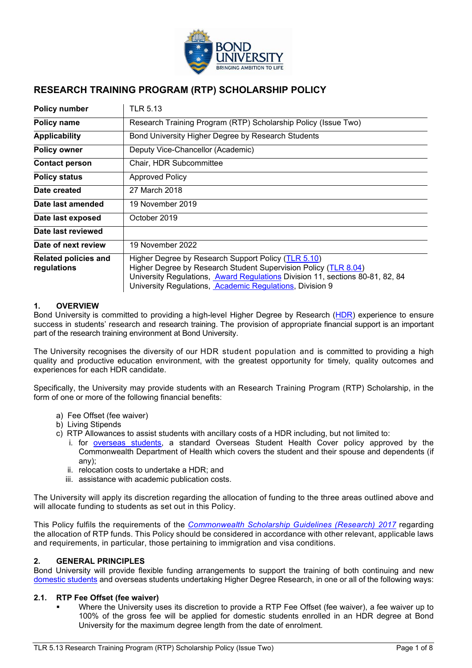

# **RESEARCH TRAINING PROGRAM (RTP) SCHOLARSHIP POLICY**

| <b>Policy number</b>                       | TLR 5.13                                                                                                                                                                                                                                                            |
|--------------------------------------------|---------------------------------------------------------------------------------------------------------------------------------------------------------------------------------------------------------------------------------------------------------------------|
| Policy name                                | Research Training Program (RTP) Scholarship Policy (Issue Two)                                                                                                                                                                                                      |
| <b>Applicability</b>                       | Bond University Higher Degree by Research Students                                                                                                                                                                                                                  |
| <b>Policy owner</b>                        | Deputy Vice-Chancellor (Academic)                                                                                                                                                                                                                                   |
| <b>Contact person</b>                      | Chair, HDR Subcommittee                                                                                                                                                                                                                                             |
| <b>Policy status</b>                       | <b>Approved Policy</b>                                                                                                                                                                                                                                              |
| Date created                               | 27 March 2018                                                                                                                                                                                                                                                       |
| Date last amended                          | 19 November 2019                                                                                                                                                                                                                                                    |
| Date last exposed                          | October 2019                                                                                                                                                                                                                                                        |
| Date last reviewed                         |                                                                                                                                                                                                                                                                     |
| Date of next review                        | 19 November 2022                                                                                                                                                                                                                                                    |
| <b>Related policies and</b><br>regulations | Higher Degree by Research Support Policy (TLR 5.10)<br>Higher Degree by Research Student Supervision Policy (TLR 8.04)<br>University Regulations, Award Regulations Division 11, sections 80-81, 82, 84<br>University Regulations, Academic Regulations, Division 9 |

# **1. OVERVIEW**

Bond University is committed to providing a high-level Higher Degree by Research [\(HDR\)](#page-6-0) experience to ensure success in students' research and research training. The provision of appropriate financial support is an important part of the research training environment at Bond University.

The University recognises the diversity of our HDR student population and is committed to providing a high quality and productive education environment, with the greatest opportunity for timely, quality outcomes and experiences for each HDR candidate.

Specifically, the University may provide students with an Research Training Program (RTP) Scholarship, in the form of one or more of the following financial benefits:

- a) Fee Offset (fee waiver)
- b) Living Stipends
- c) RTP Allowances to assist students with ancillary costs of a HDR including, but not limited to:
	- i. for [overseas students,](#page-6-1) a standard Overseas Student Health Cover policy approved by the Commonwealth Department of Health which covers the student and their spouse and dependents (if any);
	- ii. relocation costs to undertake a HDR; and
	- iii. assistance with academic publication costs.

The University will apply its discretion regarding the allocation of funding to the three areas outlined above and will allocate funding to students as set out in this Policy.

This Policy fulfils the requirements of the *[Commonwealth Scholarship Guidelines \(Research\) 2017](https://www.legislation.gov.au/Details/F2016L01602)* regarding the allocation of RTP funds. This Policy should be considered in accordance with other relevant, applicable laws and requirements, in particular, those pertaining to immigration and visa conditions.

# **2. GENERAL PRINCIPLES**

Bond University will provide flexible funding arrangements to support the training of both continuing and new [domestic students](#page-6-2) and overseas students undertaking Higher Degree Research, in one or all of the following ways:

#### **2.1. RTP Fee Offset (fee waiver)**

 Where the University uses its discretion to provide a RTP Fee Offset (fee waiver), a fee waiver up to 100% of the gross fee will be applied for domestic students enrolled in an HDR degree at Bond University for the maximum degree length from the date of enrolment*.*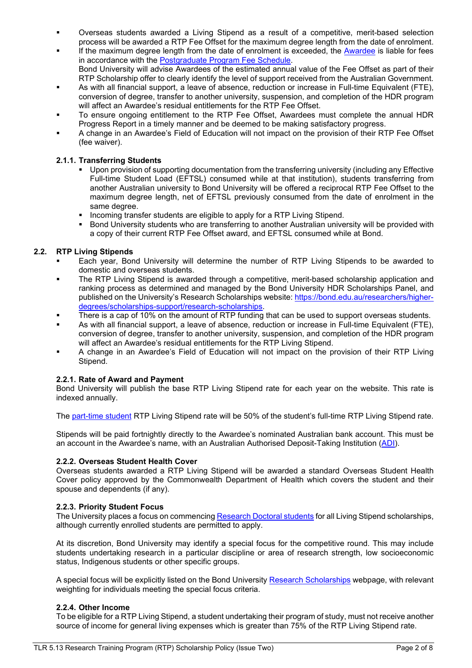- Overseas students awarded a Living Stipend as a result of a competitive, merit-based selection process will be awarded a RTP Fee Offset for the maximum degree length from the date of enrolment.
- If the maximum degree length from the date of enrolment is exceeded, the [Awardee](#page-5-0) is liable for fees in accordance with the [Postgraduate Program Fee Schedule.](https://bond.edu.au/future-students/study-bond/how-apply/fees-costs) Bond University will advise Awardees of the estimated annual value of the Fee Offset as part of their RTP Scholarship offer to clearly identify the level of support received from the Australian Government.
- As with all financial support, a leave of absence, reduction or increase in Full-time Equivalent (FTE), conversion of degree, transfer to another university, suspension, and completion of the HDR program will affect an Awardee's residual entitlements for the RTP Fee Offset.
- To ensure ongoing entitlement to the RTP Fee Offset, Awardees must complete the annual HDR Progress Report in a timely manner and be deemed to be making satisfactory progress.
- A change in an Awardee's Field of Education will not impact on the provision of their RTP Fee Offset (fee waiver).

# **2.1.1. Transferring Students**

- Upon provision of supporting documentation from the transferring university (including any Effective Full-time Student Load (EFTSL) consumed while at that institution), students transferring from another Australian university to Bond University will be offered a reciprocal RTP Fee Offset to the maximum degree length, net of EFTSL previously consumed from the date of enrolment in the same degree.
- **Incoming transfer students are eligible to apply for a RTP Living Stipend.**
- **Bond University students who are transferring to another Australian university will be provided with** a copy of their current RTP Fee Offset award, and EFTSL consumed while at Bond.

# **2.2. RTP Living Stipends**

- Each year, Bond University will determine the number of RTP Living Stipends to be awarded to domestic and overseas students.
- The RTP Living Stipend is awarded through a competitive, merit-based scholarship application and ranking process as determined and managed by the Bond University HDR Scholarships Panel, and published on the University's Research Scholarships website[: https://bond.edu.au/researchers/higher](https://bond.edu.au/researchers/higher-degrees/scholarships-support/research-scholarships)[degrees/scholarships-support/research-scholarships.](https://bond.edu.au/researchers/higher-degrees/scholarships-support/research-scholarships)
- There is a cap of 10% on the amount of RTP funding that can be used to support overseas students.
- As with all financial support, a leave of absence, reduction or increase in Full-time Equivalent (FTE), conversion of degree, transfer to another university, suspension, and completion of the HDR program will affect an Awardee's residual entitlements for the RTP Living Stipend.
- A change in an Awardee's Field of Education will not impact on the provision of their RTP Living Stipend.

# **2.2.1. Rate of Award and Payment**

Bond University will publish the base RTP Living Stipend rate for each year on the website. This rate is indexed annually.

The [part-time student](#page-6-3) RTP Living Stipend rate will be 50% of the student's full-time RTP Living Stipend rate.

Stipends will be paid fortnightly directly to the Awardee's nominated Australian bank account. This must be an account in the Awardee's name, with an Australian Authorised Deposit-Taking Institution [\(ADI\)](#page-5-1).

# **2.2.2. Overseas Student Health Cover**

Overseas students awarded a RTP Living Stipend will be awarded a standard Overseas Student Health Cover policy approved by the Commonwealth Department of Health which covers the student and their spouse and dependents (if any).

# **2.2.3. Priority Student Focus**

The University places a focus on commencin[g Research Doctoral students](#page-6-4) for all Living Stipend scholarships, although currently enrolled students are permitted to apply.

At its discretion, Bond University may identify a special focus for the competitive round. This may include students undertaking research in a particular discipline or area of research strength, low socioeconomic status, Indigenous students or other specific groups.

A special focus will be explicitly listed on the Bond University [Research Scholarships](https://bond.edu.au/researchers/higher-degrees/scholarships-support/research-scholarships) webpage, with relevant weighting for individuals meeting the special focus criteria.

# **2.2.4. Other Income**

To be eligible for a RTP Living Stipend, a student undertaking their program of study, must not receive another source of income for general living expenses which is greater than 75% of the RTP Living Stipend rate.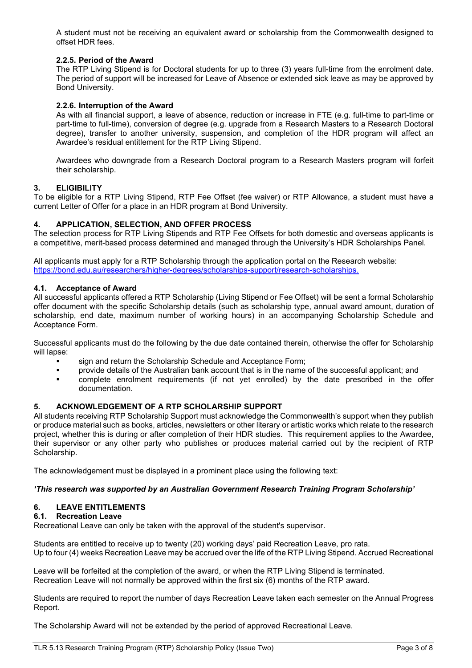A student must not be receiving an equivalent award or scholarship from the Commonwealth designed to offset HDR fees.

# **2.2.5. Period of the Award**

The RTP Living Stipend is for Doctoral students for up to three (3) years full-time from the enrolment date. The period of support will be increased for Leave of Absence or extended sick leave as may be approved by Bond University.

# **2.2.6. Interruption of the Award**

As with all financial support, a leave of absence, reduction or increase in FTE (e.g. full-time to part-time or part-time to full-time), conversion of degree (e.g. upgrade from a Research Masters to a Research Doctoral degree), transfer to another university, suspension, and completion of the HDR program will affect an Awardee's residual entitlement for the RTP Living Stipend.

Awardees who downgrade from a Research Doctoral program to a Research Masters program will forfeit their scholarship.

# **3. ELIGIBILITY**

To be eligible for a RTP Living Stipend, RTP Fee Offset (fee waiver) or RTP Allowance, a student must have a current Letter of Offer for a place in an HDR program at Bond University.

#### **4. APPLICATION, SELECTION, AND OFFER PROCESS**

The selection process for RTP Living Stipends and RTP Fee Offsets for both domestic and overseas applicants is a competitive, merit-based process determined and managed through the University's HDR Scholarships Panel.

All applicants must apply for a RTP Scholarship through the application portal on the Research website: [https://bond.edu.au/researchers/higher-degrees/scholarships-support/research-scholarships.](https://bond.edu.au/researchers/higher-degrees/scholarships-support/research-scholarships)

#### **4.1. Acceptance of Award**

All successful applicants offered a RTP Scholarship (Living Stipend or Fee Offset) will be sent a formal Scholarship offer document with the specific Scholarship details (such as scholarship type, annual award amount, duration of scholarship, end date, maximum number of working hours) in an accompanying Scholarship Schedule and Acceptance Form.

Successful applicants must do the following by the due date contained therein, otherwise the offer for Scholarship will lapse:

- sign and return the Scholarship Schedule and Acceptance Form;<br>■ provide details of the Australian bank account that is in the name
- provide details of the Australian bank account that is in the name of the successful applicant; and
- complete enrolment requirements (if not yet enrolled) by the date prescribed in the offer documentation.

#### **5. ACKNOWLEDGEMENT OF A RTP SCHOLARSHIP SUPPORT**

All students receiving RTP Scholarship Support must acknowledge the Commonwealth's support when they publish or produce material such as books, articles, newsletters or other literary or artistic works which relate to the research project, whether this is during or after completion of their HDR studies. This requirement applies to the Awardee, their supervisor or any other party who publishes or produces material carried out by the recipient of RTP Scholarship.

The acknowledgement must be displayed in a prominent place using the following text:

# *'This research was supported by an Australian Government Research Training Program Scholarship'*

# **6. LEAVE ENTITLEMENTS**

#### **6.1. Recreation Leave**

Recreational Leave can only be taken with the approval of the student's supervisor.

Students are entitled to receive up to twenty (20) working days' paid Recreation Leave, pro rata. Up to four (4) weeks Recreation Leave may be accrued over the life of the RTP Living Stipend. Accrued Recreational

Leave will be forfeited at the completion of the award, or when the RTP Living Stipend is terminated. Recreation Leave will not normally be approved within the first six (6) months of the RTP award.

Students are required to report the number of days Recreation Leave taken each semester on the Annual Progress Report.

The Scholarship Award will not be extended by the period of approved Recreational Leave.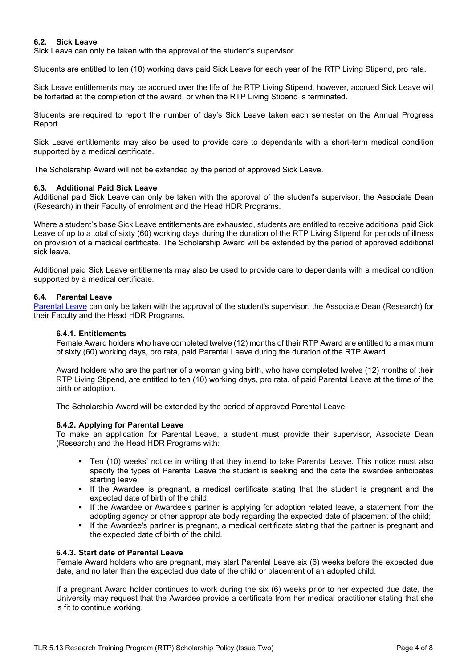# **6.2. Sick Leave**

Sick Leave can only be taken with the approval of the student's supervisor.

Students are entitled to ten (10) working days paid Sick Leave for each year of the RTP Living Stipend, pro rata.

Sick Leave entitlements may be accrued over the life of the RTP Living Stipend, however, accrued Sick Leave will be forfeited at the completion of the award, or when the RTP Living Stipend is terminated.

Students are required to report the number of day's Sick Leave taken each semester on the Annual Progress Report.

Sick Leave entitlements may also be used to provide care to dependants with a short-term medical condition supported by a medical certificate.

The Scholarship Award will not be extended by the period of approved Sick Leave.

#### **6.3. Additional Paid Sick Leave**

Additional paid Sick Leave can only be taken with the approval of the student's supervisor, the Associate Dean (Research) in their Faculty of enrolment and the Head HDR Programs.

Where a student's base Sick Leave entitlements are exhausted, students are entitled to receive additional paid Sick Leave of up to a total of sixty (60) working days during the duration of the RTP Living Stipend for periods of illness on provision of a medical certificate. The Scholarship Award will be extended by the period of approved additional sick leave.

Additional paid Sick Leave entitlements may also be used to provide care to dependants with a medical condition supported by a medical certificate.

#### **6.4. Parental Leave**

[Parental Leave](#page-6-5) can only be taken with the approval of the student's supervisor, the Associate Dean (Research) for their Faculty and the Head HDR Programs.

#### **6.4.1. Entitlements**

Female Award holders who have completed twelve (12) months of their RTP Award are entitled to a maximum of sixty (60) working days, pro rata, paid Parental Leave during the duration of the RTP Award.

Award holders who are the partner of a woman giving birth, who have completed twelve (12) months of their RTP Living Stipend, are entitled to ten (10) working days, pro rata, of paid Parental Leave at the time of the birth or adoption.

The Scholarship Award will be extended by the period of approved Parental Leave.

#### **6.4.2. Applying for Parental Leave**

To make an application for Parental Leave, a student must provide their supervisor, Associate Dean (Research) and the Head HDR Programs with:

- Ten (10) weeks' notice in writing that they intend to take Parental Leave. This notice must also specify the types of Parental Leave the student is seeking and the date the awardee anticipates starting leave;
- **If the Awardee is pregnant, a medical certificate stating that the student is pregnant and the** expected date of birth of the child;
- **If the Awardee or Awardee's partner is applying for adoption related leave, a statement from the** adopting agency or other appropriate body regarding the expected date of placement of the child;
- If the Awardee's partner is pregnant, a medical certificate stating that the partner is pregnant and the expected date of birth of the child.

#### **6.4.3. Start date of Parental Leave**

Female Award holders who are pregnant, may start Parental Leave six (6) weeks before the expected due date, and no later than the expected due date of the child or placement of an adopted child.

If a pregnant Award holder continues to work during the six (6) weeks prior to her expected due date, the University may request that the Awardee provide a certificate from her medical practitioner stating that she is fit to continue working.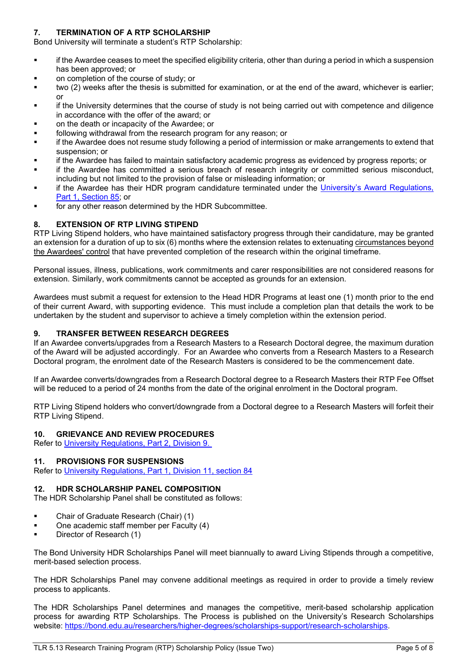# **7. TERMINATION OF A RTP SCHOLARSHIP**

Bond University will terminate a student's RTP Scholarship:

- if the Awardee ceases to meet the specified eligibility criteria, other than during a period in which a suspension has been approved; or
- on completion of the course of study; or
- two (2) weeks after the thesis is submitted for examination, or at the end of the award, whichever is earlier; or
- **if the University determines that the course of study is not being carried out with competence and diligence** in accordance with the offer of the award; or
- on the death or incapacity of the Awardee; or
- following withdrawal from the research program for any reason; or
- if the Awardee does not resume study following a period of intermission or make arrangements to extend that suspension; or
- if the Awardee has failed to maintain satisfactory academic progress as evidenced by progress reports; or
- if the Awardee has committed a serious breach of research integrity or committed serious misconduct, including but not limited to the provision of false or misleading information; or
- if the Awardee has their HDR program candidature terminated under the [University's Award Regulations,](https://bond.edu.au/files/674/Part1AwardRegs.pdf)  [Part 1, Section 85;](https://bond.edu.au/files/674/Part1AwardRegs.pdf) or
- for any other reason determined by the HDR Subcommittee.

# **8. EXTENSION OF RTP LIVING STIPEND**

RTP Living Stipend holders, who have maintained satisfactory progress through their candidature, may be granted an extension for a duration of up to six (6) months where the extension relates to extenuating circumstances beyond the Awardees' control that have prevented completion of the research within the original timeframe.

Personal issues, illness, publications, work commitments and carer responsibilities are not considered reasons for extension. Similarly, work commitments cannot be accepted as grounds for an extension.

Awardees must submit a request for extension to the Head HDR Programs at least one (1) month prior to the end of their current Award, with supporting evidence. This must include a completion plan that details the work to be undertaken by the student and supervisor to achieve a timely completion within the extension period.

#### **9. TRANSFER BETWEEN RESEARCH DEGREES**

If an Awardee converts/upgrades from a Research Masters to a Research Doctoral degree, the maximum duration of the Award will be adjusted accordingly. For an Awardee who converts from a Research Masters to a Research Doctoral program, the enrolment date of the Research Masters is considered to be the commencement date.

If an Awardee converts/downgrades from a Research Doctoral degree to a Research Masters their RTP Fee Offset will be reduced to a period of 24 months from the date of the original enrolment in the Doctoral program.

RTP Living Stipend holders who convert/downgrade from a Doctoral degree to a Research Masters will forfeit their RTP Living Stipend.

#### **10. GRIEVANCE AND REVIEW PROCEDURES**

Refer to [University Regulations, Part 2, Division 9.](https://bond.edu.au/academic-regs)

#### **11. PROVISIONS FOR SUSPENSIONS**

Refer to [University Regulations, Part 1, Division 11, section 84](https://bond.edu.au/files/674/Part1AwardRegs.pdf)

# **12. HDR SCHOLARSHIP PANEL COMPOSITION**

The HDR Scholarship Panel shall be constituted as follows:

- Chair of Graduate Research (Chair) (1)
- One academic staff member per Faculty (4)
- Director of Research (1)

The Bond University HDR Scholarships Panel will meet biannually to award Living Stipends through a competitive, merit-based selection process.

The HDR Scholarships Panel may convene additional meetings as required in order to provide a timely review process to applicants.

The HDR Scholarships Panel determines and manages the competitive, merit-based scholarship application process for awarding RTP Scholarships. The Process is published on the University's Research Scholarships website: [https://bond.edu.au/researchers/higher-degrees/scholarships-support/research-scholarships.](https://bond.edu.au/researchers/higher-degrees/scholarships-support/research-scholarships)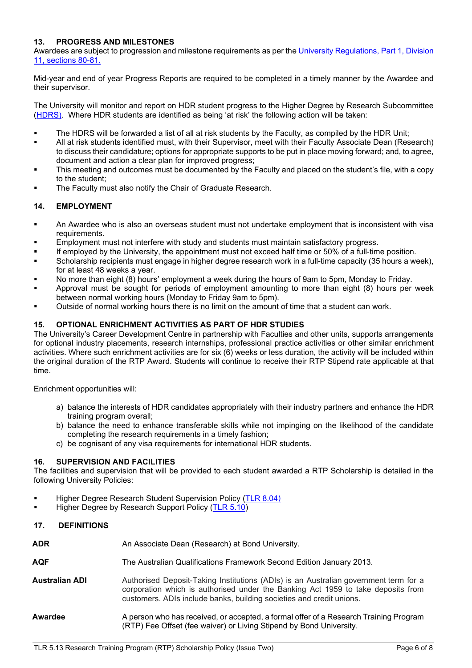# **13. PROGRESS AND MILESTONES**

Awardees are subject to progression and milestone requirements as per the [University Regulations, Part 1, Division](https://bond.edu.au/files/674/Student%20Handbook.%20Part%201%3A%20Award%20Regulations.pdf)  [11, sections 80-81.](https://bond.edu.au/files/674/Student%20Handbook.%20Part%201%3A%20Award%20Regulations.pdf)

Mid-year and end of year Progress Reports are required to be completed in a timely manner by the Awardee and their supervisor.

The University will monitor and report on HDR student progress to the Higher Degree by Research Subcommittee [\(HDRS\)](#page-6-6). Where HDR students are identified as being 'at risk' the following action will be taken:

- **The HDRS will be forwarded a list of all at risk students by the Faculty, as compiled by the HDR Unit;**
- All at risk students identified must, with their Supervisor, meet with their Faculty Associate Dean (Research) to discuss their candidature; options for appropriate supports to be put in place moving forward; and, to agree, document and action a clear plan for improved progress;
- This meeting and outcomes must be documented by the Faculty and placed on the student's file, with a copy to the student;
- The Faculty must also notify the Chair of Graduate Research.

# **14. EMPLOYMENT**

- An Awardee who is also an overseas student must not undertake employment that is inconsistent with visa requirements.
- Employment must not interfere with study and students must maintain satisfactory progress.
- If employed by the University, the appointment must not exceed half time or 50% of a full‐time position.
- Scholarship recipients must engage in higher degree research work in a full-time capacity (35 hours a week), for at least 48 weeks a year.
- No more than eight (8) hours' employment a week during the hours of 9am to 5pm, Monday to Friday.
- Approval must be sought for periods of employment amounting to more than eight (8) hours per week between normal working hours (Monday to Friday 9am to 5pm).
- Outside of normal working hours there is no limit on the amount of time that a student can work.

# **15. OPTIONAL ENRICHMENT ACTIVITIES AS PART OF HDR STUDIES**

The University's Career Development Centre in partnership with Faculties and other units, supports arrangements for optional industry placements, research internships, professional practice activities or other similar enrichment activities. Where such enrichment activities are for six (6) weeks or less duration, the activity will be included within the original duration of the RTP Award. Students will continue to receive their RTP Stipend rate applicable at that time.

Enrichment opportunities will:

- a) balance the interests of HDR candidates appropriately with their industry partners and enhance the HDR training program overall;
- b) balance the need to enhance transferable skills while not impinging on the likelihood of the candidate completing the research requirements in a timely fashion;
- c) be cognisant of any visa requirements for international HDR students.

# **16. SUPERVISION AND FACILITIES**

The facilities and supervision that will be provided to each student awarded a RTP Scholarship is detailed in the following University Policies:

- Higher Degree Research Student Supervision Policy [\(TLR 8.04\)](https://bond.edu.au/files/961/TLR804.pdf)
- Higher Degree by Research Support Policy [\(TLR 5.10\)](https://bond.edu.au/files/956/TLR510.pdf)

# **17. DEFINITIONS**

<span id="page-5-1"></span><span id="page-5-0"></span>

| ADR                   | An Associate Dean (Research) at Bond University.                                                                                                                                                                                                 |
|-----------------------|--------------------------------------------------------------------------------------------------------------------------------------------------------------------------------------------------------------------------------------------------|
| AQF                   | The Australian Qualifications Framework Second Edition January 2013.                                                                                                                                                                             |
| <b>Australian ADI</b> | Authorised Deposit-Taking Institutions (ADIs) is an Australian government term for a<br>corporation which is authorised under the Banking Act 1959 to take deposits from<br>customers. ADIs include banks, building societies and credit unions. |
| Awardee               | A person who has received, or accepted, a formal offer of a Research Training Program<br>(RTP) Fee Offset (fee waiver) or Living Stipend by Bond University.                                                                                     |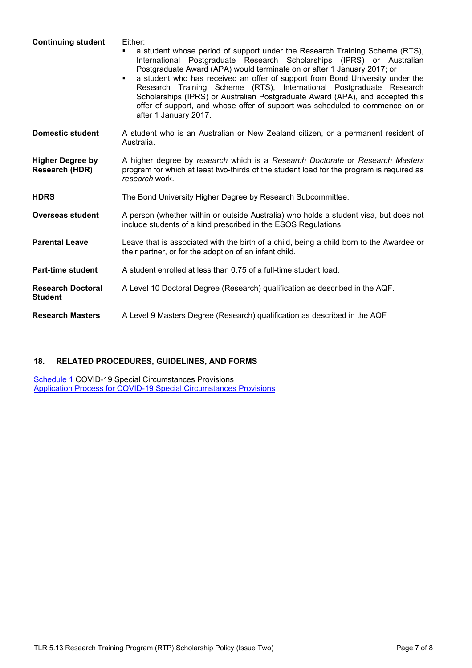<span id="page-6-6"></span><span id="page-6-2"></span><span id="page-6-0"></span>

| <b>Continuing student</b>                  | Either:<br>a student whose period of support under the Research Training Scheme (RTS),<br>Postgraduate Research Scholarships (IPRS) or Australian<br>International<br>Postgraduate Award (APA) would terminate on or after 1 January 2017; or<br>a student who has received an offer of support from Bond University under the<br>$\blacksquare$<br>Research Training Scheme (RTS), International Postgraduate Research<br>Scholarships (IPRS) or Australian Postgraduate Award (APA), and accepted this<br>offer of support, and whose offer of support was scheduled to commence on or<br>after 1 January 2017. |
|--------------------------------------------|-------------------------------------------------------------------------------------------------------------------------------------------------------------------------------------------------------------------------------------------------------------------------------------------------------------------------------------------------------------------------------------------------------------------------------------------------------------------------------------------------------------------------------------------------------------------------------------------------------------------|
| <b>Domestic student</b>                    | A student who is an Australian or New Zealand citizen, or a permanent resident of<br>Australia.                                                                                                                                                                                                                                                                                                                                                                                                                                                                                                                   |
| <b>Higher Degree by</b><br>Research (HDR)  | A higher degree by research which is a Research Doctorate or Research Masters<br>program for which at least two-thirds of the student load for the program is required as<br>research work.                                                                                                                                                                                                                                                                                                                                                                                                                       |
| <b>HDRS</b>                                | The Bond University Higher Degree by Research Subcommittee.                                                                                                                                                                                                                                                                                                                                                                                                                                                                                                                                                       |
| <b>Overseas student</b>                    | A person (whether within or outside Australia) who holds a student visa, but does not<br>include students of a kind prescribed in the ESOS Regulations.                                                                                                                                                                                                                                                                                                                                                                                                                                                           |
| <b>Parental Leave</b>                      | Leave that is associated with the birth of a child, being a child born to the Awardee or<br>their partner, or for the adoption of an infant child.                                                                                                                                                                                                                                                                                                                                                                                                                                                                |
| <b>Part-time student</b>                   | A student enrolled at less than 0.75 of a full-time student load.                                                                                                                                                                                                                                                                                                                                                                                                                                                                                                                                                 |
| <b>Research Doctoral</b><br><b>Student</b> | A Level 10 Doctoral Degree (Research) qualification as described in the AQF.                                                                                                                                                                                                                                                                                                                                                                                                                                                                                                                                      |
| <b>Research Masters</b>                    | A Level 9 Masters Degree (Research) qualification as described in the AQF                                                                                                                                                                                                                                                                                                                                                                                                                                                                                                                                         |

# <span id="page-6-5"></span><span id="page-6-4"></span><span id="page-6-3"></span><span id="page-6-1"></span>**18. RELATED PROCEDURES, GUIDELINES, AND FORMS**

<u>[Schedule 1](#page-7-0)</u> COVID-19 Special Circumstances Provisions [Application Process for COVID-19 Special Circumstances Provisions](#page-7-1)